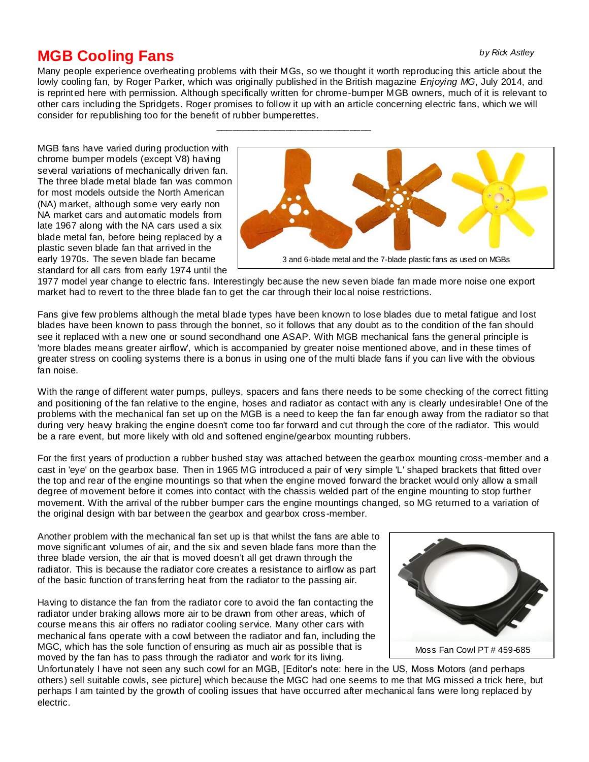## *by Rick Astley*

## **MGB Cooling Fans**

Many people experience overheating problems with their MGs, so we thought it worth reproducing this article about the lowly cooling fan, by Roger Parker, which was originally published in the British magazine *Enjoying MG*, July 2014, and is reprinted here with permission. Although specifically written for chrome-bumper MGB owners, much of it is relevant to other cars including the Spridgets. Roger promises to follow it up with an article concerning electric fans, which we will consider for republishing too for the benefit of rubber bumperettes.

\_\_\_\_\_\_\_\_\_\_\_\_\_\_\_\_\_\_\_\_\_\_\_\_\_\_\_\_\_

MGB fans have varied during production with chrome bumper models (except V8) having several variations of mechanically driven fan. The three blade metal blade fan was common for most models outside the North American (NA) market, although some very early non NA market cars and automatic models from late 1967 along with the NA cars used a six blade metal fan, before being replaced by a plastic seven blade fan that arrived in the early 1970s. The seven blade fan became standard for all cars from early 1974 until the



1977 model year change to electric fans. Interestingly because the new seven blade fan made more noise one export market had to revert to the three blade fan to get the car through their local noise restrictions.

Fans give few problems although the metal blade types have been known to lose blades due to metal fatigue and lost blades have been known to pass through the bonnet, so it follows that any doubt as to the condition of the fan should see it replaced with a new one or sound secondhand one ASAP. With MGB mechanical fans the general principle is 'more blades means greater airflow', which is accompanied by greater noise mentioned above, and in these times of greater stress on cooling systems there is a bonus in using one of the multi blade fans if you can live with the obvious fan noise.

With the range of different water pumps, pulleys, spacers and fans there needs to be some checking of the correct fitting and positioning of the fan relative to the engine, hoses and radiator as contact with any is clearly undesirable! One of the problems with the mechanical fan set up on the MGB is a need to keep the fan far enough away from the radiator so that during very heavy braking the engine doesn't come too far forward and cut through the core of the radiator. This would be a rare event, but more likely with old and softened engine/gearbox mounting rubbers.

For the first years of production a rubber bushed stay was attached between the gearbox mounting cross-member and a cast in 'eye' on the gearbox base. Then in 1965 MG introduced a pair of very simple 'L' shaped brackets that fitted over the top and rear of the engine mountings so that when the engine moved forward the bracket would only allow a small degree of movement before it comes into contact with the chassis welded part of the engine mounting to stop further movement. With the arrival of the rubber bumper cars the engine mountings changed, so MG returned to a variation of the original design with bar between the gearbox and gearbox cross-member.

Another problem with the mechanical fan set up is that whilst the fans are able to move significant volumes of air, and the six and seven blade fans more than the three blade version, the air that is moved doesn't all get drawn through the radiator. This is because the radiator core creates a resistance to airflow as part of the basic function of transferring heat from the radiator to the passing air.

Having to distance the fan from the radiator core to avoid the fan contacting the radiator under braking allows more air to be drawn from other areas, which of course means this air offers no radiator cooling service. Many other cars with mechanical fans operate with a cowl between the radiator and fan, including the MGC, which has the sole function of ensuring as much air as possible that is moved by the fan has to pass through the radiator and work for its living.



Unfortunately I have not seen any such cowl for an MGB, [Editor's note: here in the US, Moss Motors (and perhaps others) sell suitable cowls, see picture] which because the MGC had one seems to me that MG missed a trick here, but perhaps I am tainted by the growth of cooling issues that have occurred after mechanical fans were long replaced by electric.